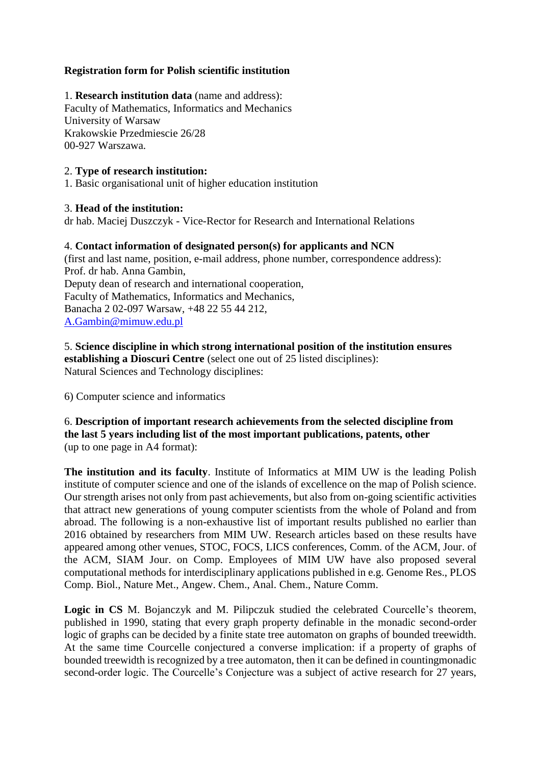### **Registration form for Polish scientific institution**

1. **Research institution data** (name and address): Faculty of Mathematics, Informatics and Mechanics University of Warsaw Krakowskie Przedmiescie 26/28 00-927 Warszawa.

### 2. **Type of research institution:**

1. Basic organisational unit of higher education institution

#### 3. **Head of the institution:**

dr hab. Maciej Duszczyk - Vice-Rector for Research and International Relations

#### 4. **Contact information of designated person(s) for applicants and NCN**

(first and last name, position, e-mail address, phone number, correspondence address): Prof. dr hab. Anna Gambin, Deputy dean of research and international cooperation, Faculty of Mathematics, Informatics and Mechanics, Banacha 2 02-097 Warsaw, +48 22 55 44 212, [A.Gambin@mimuw.edu.pl](mailto:A.Gambin@mimuw.edu.pl)

5. **Science discipline in which strong international position of the institution ensures establishing a Dioscuri Centre** (select one out of 25 listed disciplines): Natural Sciences and Technology disciplines:

6) Computer science and informatics

6. **Description of important research achievements from the selected discipline from the last 5 years including list of the most important publications, patents, other** (up to one page in A4 format):

**The institution and its faculty**. Institute of Informatics at MIM UW is the leading Polish institute of computer science and one of the islands of excellence on the map of Polish science. Our strength arises not only from past achievements, but also from on-going scientific activities that attract new generations of young computer scientists from the whole of Poland and from abroad. The following is a non-exhaustive list of important results published no earlier than 2016 obtained by researchers from MIM UW. Research articles based on these results have appeared among other venues, STOC, FOCS, LICS conferences, Comm. of the ACM, Jour. of the ACM, SIAM Jour. on Comp. Employees of MIM UW have also proposed several computational methods for interdisciplinary applications published in e.g. Genome Res., PLOS Comp. Biol., Nature Met., Angew. Chem., Anal. Chem., Nature Comm.

**Logic in CS** M. Bojanczyk and M. Pilipczuk studied the celebrated Courcelle's theorem, published in 1990, stating that every graph property definable in the monadic second-order logic of graphs can be decided by a finite state tree automaton on graphs of bounded treewidth. At the same time Courcelle conjectured a converse implication: if a property of graphs of bounded treewidth is recognized by a tree automaton, then it can be defined in countingmonadic second-order logic. The Courcelle's Conjecture was a subject of active research for 27 years,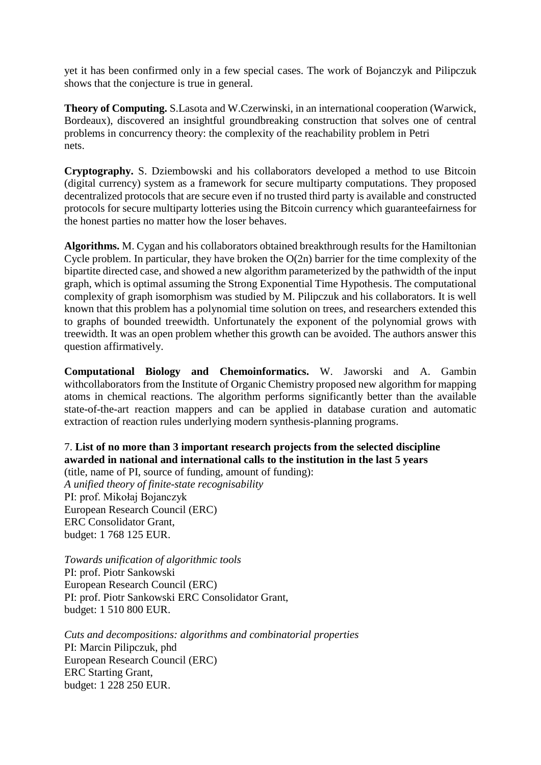yet it has been confirmed only in a few special cases. The work of Bojanczyk and Pilipczuk shows that the conjecture is true in general.

**Theory of Computing.** S.Lasota and W.Czerwinski, in an international cooperation (Warwick, Bordeaux), discovered an insightful groundbreaking construction that solves one of central problems in concurrency theory: the complexity of the reachability problem in Petri nets.

**Cryptography.** S. Dziembowski and his collaborators developed a method to use Bitcoin (digital currency) system as a framework for secure multiparty computations. They proposed decentralized protocols that are secure even if no trusted third party is available and constructed protocols for secure multiparty lotteries using the Bitcoin currency which guaranteefairness for the honest parties no matter how the loser behaves.

**Algorithms.** M. Cygan and his collaborators obtained breakthrough results for the Hamiltonian Cycle problem. In particular, they have broken the O(2n) barrier for the time complexity of the bipartite directed case, and showed a new algorithm parameterized by the pathwidth of the input graph, which is optimal assuming the Strong Exponential Time Hypothesis. The computational complexity of graph isomorphism was studied by M. Pilipczuk and his collaborators. It is well known that this problem has a polynomial time solution on trees, and researchers extended this to graphs of bounded treewidth. Unfortunately the exponent of the polynomial grows with treewidth. It was an open problem whether this growth can be avoided. The authors answer this question affirmatively.

**Computational Biology and Chemoinformatics.** W. Jaworski and A. Gambin withcollaborators from the Institute of Organic Chemistry proposed new algorithm for mapping atoms in chemical reactions. The algorithm performs significantly better than the available state-of-the-art reaction mappers and can be applied in database curation and automatic extraction of reaction rules underlying modern synthesis-planning programs.

# 7. **List of no more than 3 important research projects from the selected discipline awarded in national and international calls to the institution in the last 5 years**

(title, name of PI, source of funding, amount of funding): *A unified theory of finite-state recognisability* PI: prof. Mikołaj Bojanczyk European Research Council (ERC) ERC Consolidator Grant, budget: 1 768 125 EUR.

*Towards unification of algorithmic tools* PI: prof. Piotr Sankowski European Research Council (ERC) PI: prof. Piotr Sankowski ERC Consolidator Grant, budget: 1 510 800 EUR.

*Cuts and decompositions: algorithms and combinatorial properties* PI: Marcin Pilipczuk, phd European Research Council (ERC) ERC Starting Grant, budget: 1 228 250 EUR.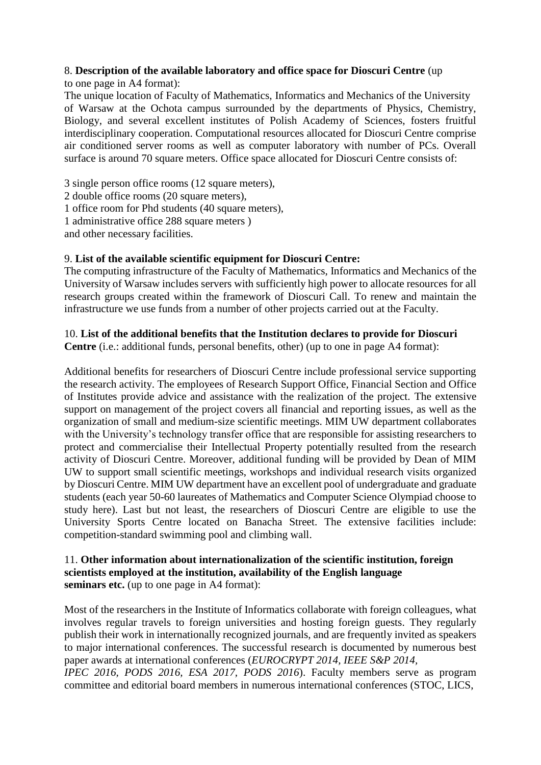# 8. **Description of the available laboratory and office space for Dioscuri Centre** (up

to one page in A4 format):

The unique location of Faculty of Mathematics, Informatics and Mechanics of the University of Warsaw at the Ochota campus surrounded by the departments of Physics, Chemistry, Biology, and several excellent institutes of Polish Academy of Sciences, fosters fruitful interdisciplinary cooperation. Computational resources allocated for Dioscuri Centre comprise air conditioned server rooms as well as computer laboratory with number of PCs. Overall surface is around 70 square meters. Office space allocated for Dioscuri Centre consists of:

3 single person office rooms (12 square meters), 2 double office rooms (20 square meters), 1 office room for Phd students (40 square meters), 1 administrative office 288 square meters ) and other necessary facilities.

# 9. **List of the available scientific equipment for Dioscuri Centre:**

The computing infrastructure of the Faculty of Mathematics, Informatics and Mechanics of the University of Warsaw includes servers with sufficiently high power to allocate resources for all research groups created within the framework of Dioscuri Call. To renew and maintain the infrastructure we use funds from a number of other projects carried out at the Faculty.

# 10. **List of the additional benefits that the Institution declares to provide for Dioscuri**

**Centre** (i.e.: additional funds, personal benefits, other) (up to one in page A4 format):

Additional benefits for researchers of Dioscuri Centre include professional service supporting the research activity. The employees of Research Support Office, Financial Section and Office of Institutes provide advice and assistance with the realization of the project. The extensive support on management of the project covers all financial and reporting issues, as well as the organization of small and medium-size scientific meetings. MIM UW department collaborates with the University's technology transfer office that are responsible for assisting researchers to protect and commercialise their Intellectual Property potentially resulted from the research activity of Dioscuri Centre. Moreover, additional funding will be provided by Dean of MIM UW to support small scientific meetings, workshops and individual research visits organized by Dioscuri Centre. MIM UW department have an excellent pool of undergraduate and graduate students (each year 50-60 laureates of Mathematics and Computer Science Olympiad choose to study here). Last but not least, the researchers of Dioscuri Centre are eligible to use the University Sports Centre located on Banacha Street. The extensive facilities include: competition-standard swimming pool and climbing wall.

### 11. **Other information about internationalization of the scientific institution, foreign scientists employed at the institution, availability of the English language seminars etc.** (up to one page in A4 format):

Most of the researchers in the Institute of Informatics collaborate with foreign colleagues, what involves regular travels to foreign universities and hosting foreign guests. They regularly publish their work in internationally recognized journals, and are frequently invited as speakers to major international conferences. The successful research is documented by numerous best paper awards at international conferences (*EUROCRYPT 2014, IEEE S&P 2014, IPEC 2016, PODS 2016, ESA 2017, PODS 2016*). Faculty members serve as program committee and editorial board members in numerous international conferences (STOC, LICS,